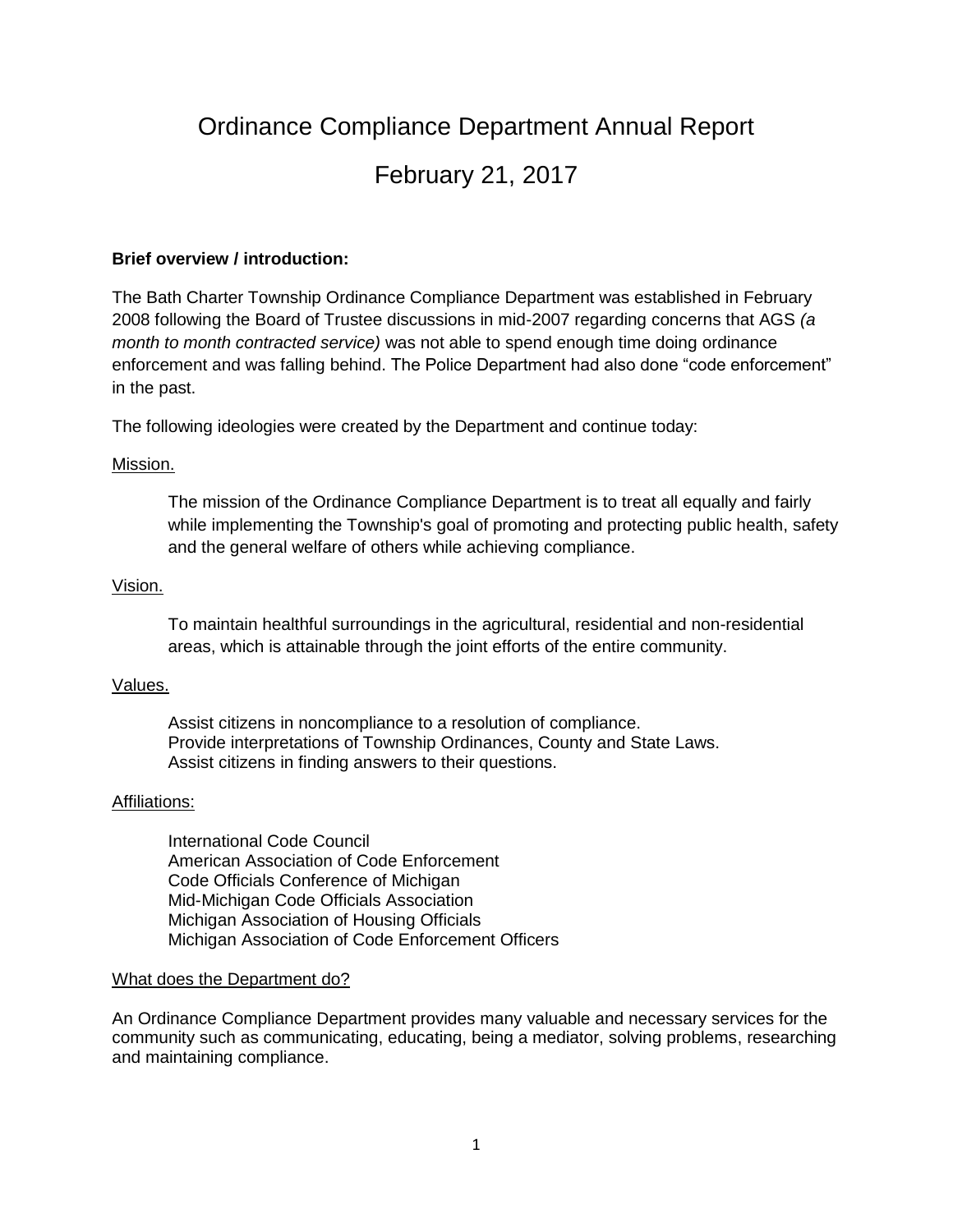# Ordinance Compliance Department Annual Report February 21, 2017

#### **Brief overview / introduction:**

The Bath Charter Township Ordinance Compliance Department was established in February 2008 following the Board of Trustee discussions in mid-2007 regarding concerns that AGS *(a month to month contracted service)* was not able to spend enough time doing ordinance enforcement and was falling behind. The Police Department had also done "code enforcement" in the past.

The following ideologies were created by the Department and continue today:

#### Mission.

The mission of the Ordinance Compliance Department is to treat all equally and fairly while implementing the Township's goal of promoting and protecting public health, safety and the general welfare of others while achieving compliance.

#### Vision.

To maintain healthful surroundings in the agricultural, residential and non-residential areas, which is attainable through the joint efforts of the entire community.

#### Values.

Assist citizens in noncompliance to a resolution of compliance. Provide interpretations of Township Ordinances, County and State Laws. Assist citizens in finding answers to their questions.

#### Affiliations:

International Code Council American Association of Code Enforcement Code Officials Conference of Michigan Mid-Michigan Code Officials Association Michigan Association of Housing Officials Michigan Association of Code Enforcement Officers

#### What does the Department do?

An Ordinance Compliance Department provides many valuable and necessary services for the community such as communicating, educating, being a mediator, solving problems, researching and maintaining compliance.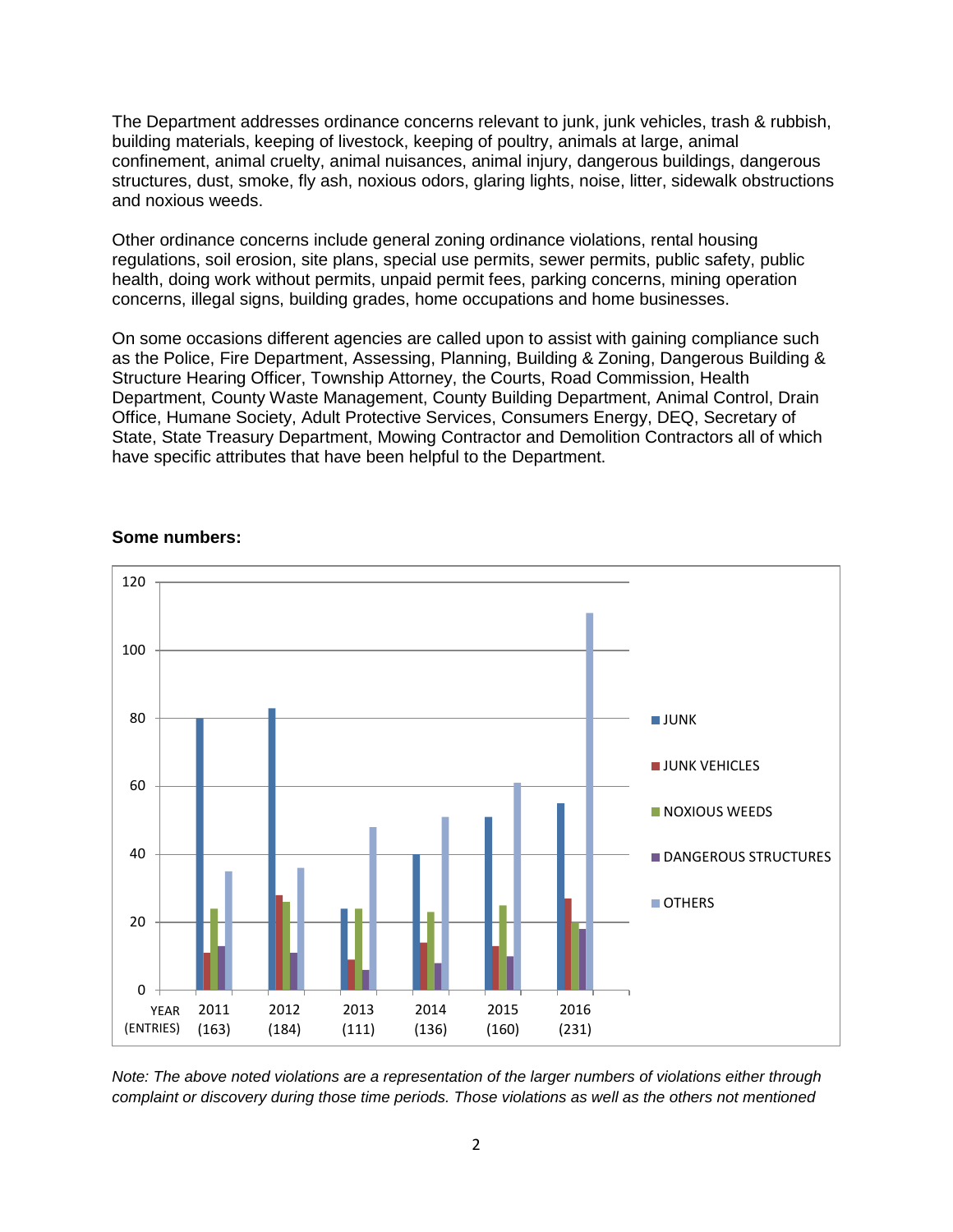The Department addresses ordinance concerns relevant to junk, junk vehicles, trash & rubbish, building materials, keeping of livestock, keeping of poultry, animals at large, animal confinement, animal cruelty, animal nuisances, animal injury, dangerous buildings, dangerous structures, dust, smoke, fly ash, noxious odors, glaring lights, noise, litter, sidewalk obstructions and noxious weeds.

Other ordinance concerns include general zoning ordinance violations, rental housing regulations, soil erosion, site plans, special use permits, sewer permits, public safety, public health, doing work without permits, unpaid permit fees, parking concerns, mining operation concerns, illegal signs, building grades, home occupations and home businesses.

On some occasions different agencies are called upon to assist with gaining compliance such as the Police, Fire Department, Assessing, Planning, Building & Zoning, Dangerous Building & Structure Hearing Officer, Township Attorney, the Courts, Road Commission, Health Department, County Waste Management, County Building Department, Animal Control, Drain Office, Humane Society, Adult Protective Services, Consumers Energy, DEQ, Secretary of State, State Treasury Department, Mowing Contractor and Demolition Contractors all of which have specific attributes that have been helpful to the Department.



#### **Some numbers:**

*Note: The above noted violations are a representation of the larger numbers of violations either through complaint or discovery during those time periods. Those violations as well as the others not mentioned*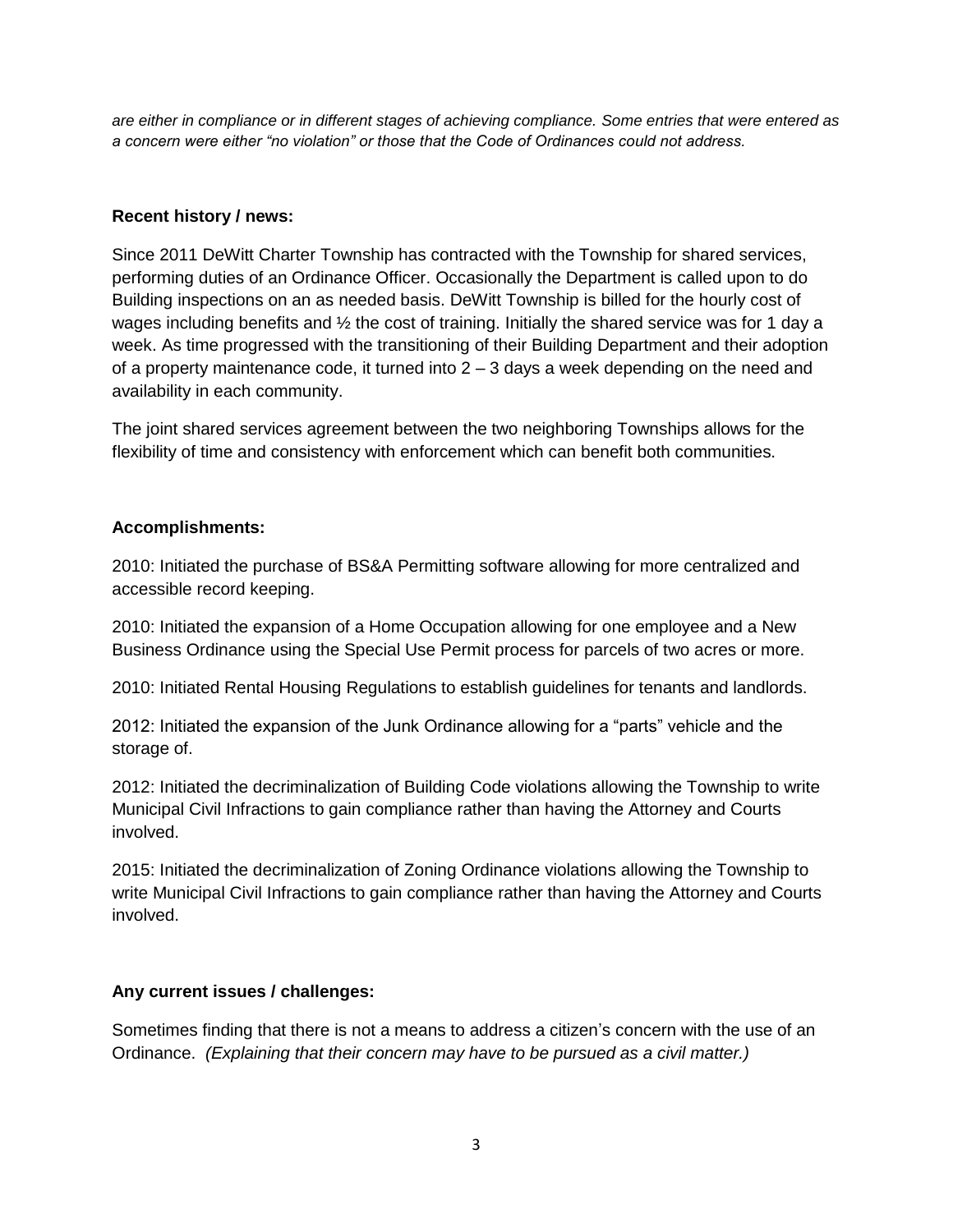*are either in compliance or in different stages of achieving compliance. Some entries that were entered as a concern were either "no violation" or those that the Code of Ordinances could not address.* 

### **Recent history / news:**

Since 2011 DeWitt Charter Township has contracted with the Township for shared services, performing duties of an Ordinance Officer. Occasionally the Department is called upon to do Building inspections on an as needed basis. DeWitt Township is billed for the hourly cost of wages including benefits and  $\frac{1}{2}$  the cost of training. Initially the shared service was for 1 day a week. As time progressed with the transitioning of their Building Department and their adoption of a property maintenance code, it turned into  $2 - 3$  days a week depending on the need and availability in each community.

The joint shared services agreement between the two neighboring Townships allows for the flexibility of time and consistency with enforcement which can benefit both communities.

# **Accomplishments:**

2010: Initiated the purchase of BS&A Permitting software allowing for more centralized and accessible record keeping.

2010: Initiated the expansion of a Home Occupation allowing for one employee and a New Business Ordinance using the Special Use Permit process for parcels of two acres or more.

2010: Initiated Rental Housing Regulations to establish guidelines for tenants and landlords.

2012: Initiated the expansion of the Junk Ordinance allowing for a "parts" vehicle and the storage of.

2012: Initiated the decriminalization of Building Code violations allowing the Township to write Municipal Civil Infractions to gain compliance rather than having the Attorney and Courts involved.

2015: Initiated the decriminalization of Zoning Ordinance violations allowing the Township to write Municipal Civil Infractions to gain compliance rather than having the Attorney and Courts involved.

# **Any current issues / challenges:**

Sometimes finding that there is not a means to address a citizen's concern with the use of an Ordinance. *(Explaining that their concern may have to be pursued as a civil matter.)*